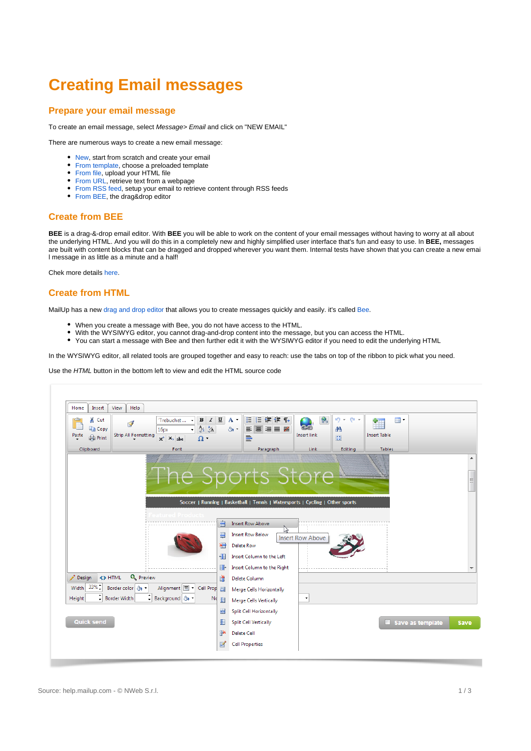# **Creating Email messages**

#### **Prepare your email message**

To create an email message, select Message> Email and click on "NEW EMAIL"

There are numerous ways to create a new email message:

- [New,](https://help.mailup.com/display/MUG/New+from+scratch) start from scratch and create your email  $\ddot{\phantom{a}}$
- [From template,](https://help.mailup.com/display/MUG/New+from+template) choose a preloaded template
- [From file,](https://help.mailup.com/display/MUG/New+from+File+or+URL) upload your HTML file
- [From URL](https://help.mailup.com/display/MUG/New+from+File+or+URL), retrieve text from a webpage
- [From RSS feed](https://help.mailup.com/display/MUG/New+from+RSS+feed), setup your email to retrieve content through RSS feeds
- [From BEE](http://help.mailup.com/display/MUG/Create+message+with+BEE), the drag&drop editor

### **Create from BEE**

**BEE** is a drag-&-drop email editor. With **BEE** you will be able to work on the content of your email messages without having to worry at all about the underlying HTML. And you will do this in a completely new and highly simplified user interface that's fun and easy to use. In **BEE,** messages are built with content blocks that can be dragged and dropped wherever you want them. Internal tests have shown that you can create a new emai l message in as little as a minute and a half!

Chek more details [here](http://help.mailup.com/pages/editpage.action?pageId=25362834).

## **Create from HTML**

MailUp has a new [drag and drop editor](http://help.mailup.com/display/MUG/BEE+drag+and+drop+editor) that allows you to create messages quickly and easily. it's called [Bee](http://help.mailup.com/display/MUG/BEE+drag+and+drop+editor).

- When you create a message with Bee, you do not have access to the HTML.
- With the WYSIWYG editor, you cannot drag-and-drop content into the message, but you can access the HTML.
- $\bullet$ You can start a message with Bee and then further edit it with the WYSIWYG editor if you need to edit the underlying HTML

In the WYSIWYG editor, all related tools are grouped together and easy to reach: use the tabs on top of the ribbon to pick what you need.

Use the HTML button in the bottom left to view and edit the HTML source code

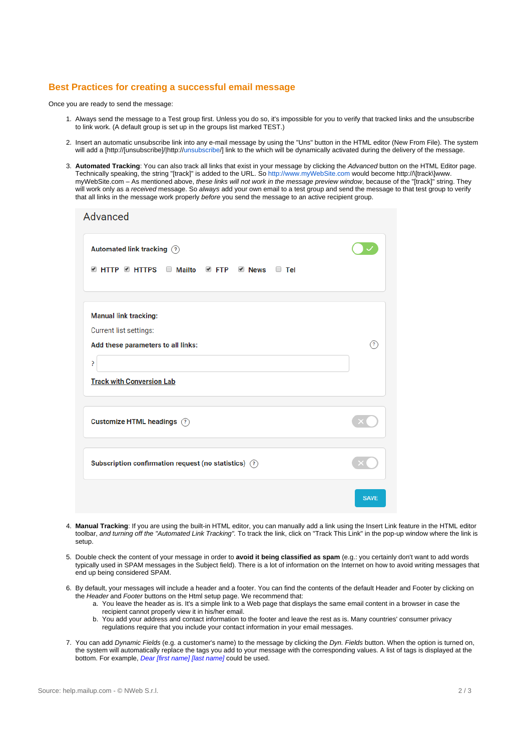## **Best Practices for creating a successful email message**

Once you are ready to send the message:

- 1. Always send the message to a Test group first. Unless you do so, it's impossible for you to verify that tracked links and the unsubscribe to link work. (A default group is set up in the groups list marked TEST.)
- 2. Insert an automatic unsubscribe link into any e-mail message by using the "Uns" button in the HTML editor (New From File). The system will add a [http://[unsubscribe]/|http://unsubscribe/] link to the which will be dynamically activated during the delivery of the message.
- 3. **Automated Tracking**: You can also track all links that exist in your message by clicking the Advanced button on the HTML Editor page. Technically speaking, the string "[track]" is added to the URL. So <http://www.myWebSite.com> would become http://\[track\]www. myWebSite.com – As mentioned above, these links will not work in the message preview window, because of the "[track]" string. They will work only as a received message. So always add your own email to a test group and send the message to that test group to verify that all links in the message work properly before you send the message to an active recipient group.

| Advanced                                                                                                                              |                   |
|---------------------------------------------------------------------------------------------------------------------------------------|-------------------|
| Automated link tracking (?)<br><b>EXAMPLE HTTPS ID Mailto EXAMPLE PROPERTY PROPERTY</b><br>$\Box$ Tel                                 |                   |
| <b>Manual link tracking:</b><br>Current list settings:<br>Add these parameters to all links:<br>5<br><b>Track with Conversion Lab</b> | $\mathcal{L}_{2}$ |
| Customize HTML headings (?)                                                                                                           |                   |
| Subscription confirmation request (no statistics) (?)                                                                                 |                   |
|                                                                                                                                       | <b>SAVE</b>       |

- 4. **Manual Tracking**: If you are using the built-in HTML editor, you can manually add a link using the Insert Link feature in the HTML editor toolbar, and turning off the "Automated Link Tracking". To track the link, click on "Track This Link" in the pop-up window where the link is setup.
- 5. Double check the content of your message in order to **avoid it being classified as spam** (e.g.: you certainly don't want to add words typically used in SPAM messages in the Subject field). There is a lot of information on the Internet on how to avoid writing messages that end up being considered SPAM.
- 6. By default, your messages will include a header and a footer. You can find the contents of the default Header and Footer by clicking on the Header and Footer buttons on the Html setup page. We recommend that:
	- a. You leave the header as is. It's a simple link to a Web page that displays the same email content in a browser in case the recipient cannot properly view it in his/her email.
	- b. You add your address and contact information to the footer and leave the rest as is. Many countries' consumer privacy regulations require that you include your contact information in your email messages.
- 7. You can add Dynamic Fields (e.g. a customer's name) to the message by clicking the Dyn. Fields button. When the option is turned on, the system will automatically replace the tags you add to your message with the corresponding values. A list of tags is displayed at the bottom. For example, *Dear [first name] [last name]* could be used.